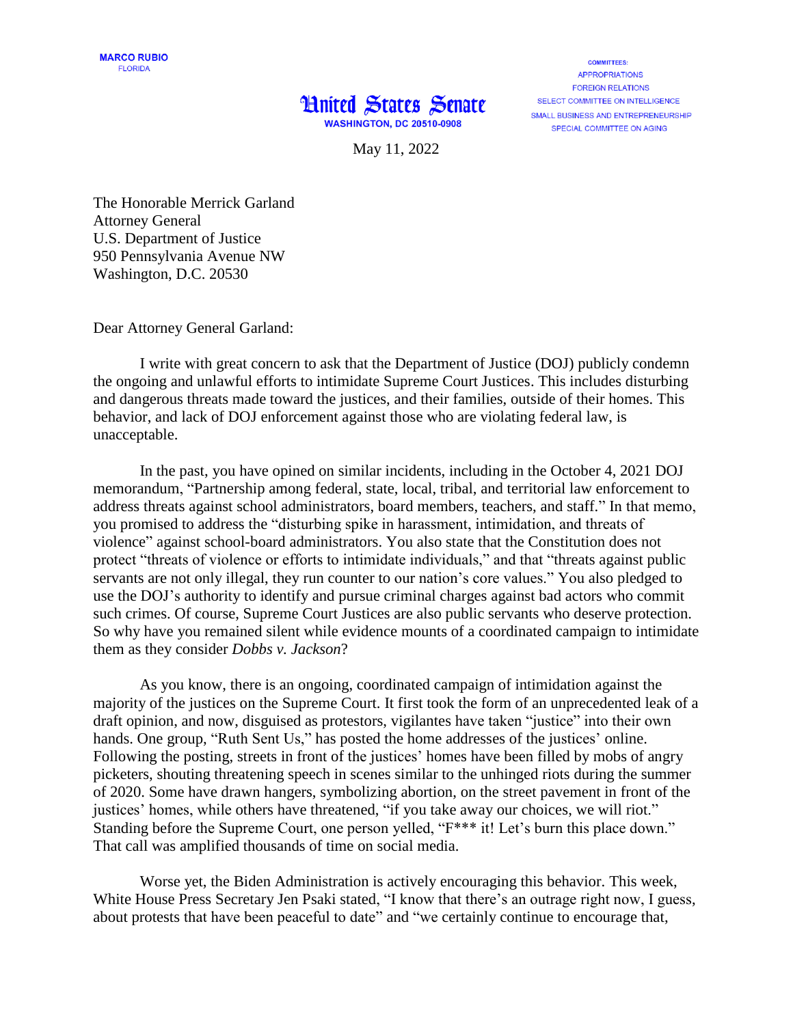## **Hnited States Senate WASHINGTON, DC 20510-0908**

**COMMITTEES APPROPRIATIONS FORFIGN RELATIONS** SELECT COMMITTEE ON INTELLIGENCE SMALL BUSINESS AND ENTREPRENEURSHIP SPECIAL COMMITTEE ON AGING

May 11, 2022

The Honorable Merrick Garland Attorney General U.S. Department of Justice 950 Pennsylvania Avenue NW Washington, D.C. 20530

Dear Attorney General Garland:

I write with great concern to ask that the Department of Justice (DOJ) publicly condemn the ongoing and unlawful efforts to intimidate Supreme Court Justices. This includes disturbing and dangerous threats made toward the justices, and their families, outside of their homes. This behavior, and lack of DOJ enforcement against those who are violating federal law, is unacceptable.

In the past, you have opined on similar incidents, including in the October 4, 2021 DOJ memorandum, "Partnership among federal, state, local, tribal, and territorial law enforcement to address threats against school administrators, board members, teachers, and staff." In that memo, you promised to address the "disturbing spike in harassment, intimidation, and threats of violence" against school-board administrators. You also state that the Constitution does not protect "threats of violence or efforts to intimidate individuals," and that "threats against public servants are not only illegal, they run counter to our nation's core values." You also pledged to use the DOJ's authority to identify and pursue criminal charges against bad actors who commit such crimes. Of course, Supreme Court Justices are also public servants who deserve protection. So why have you remained silent while evidence mounts of a coordinated campaign to intimidate them as they consider *Dobbs v. Jackson*?

As you know, there is an ongoing, coordinated campaign of intimidation against the majority of the justices on the Supreme Court. It first took the form of an unprecedented leak of a draft opinion, and now, disguised as protestors, vigilantes have taken "justice" into their own hands. One group, "Ruth Sent Us," has posted the home addresses of the justices' online. Following the posting, streets in front of the justices' homes have been filled by mobs of angry picketers, shouting threatening speech in scenes similar to the unhinged riots during the summer of 2020. Some have drawn hangers, symbolizing abortion, on the street pavement in front of the justices' homes, while others have threatened, "if you take away our choices, we will riot." Standing before the Supreme Court, one person yelled, "F\*\*\* it! Let's burn this place down." That call was amplified thousands of time on social media.

Worse yet, the Biden Administration is actively encouraging this behavior. This week, White House Press Secretary Jen Psaki stated, "I know that there's an outrage right now, I guess, about protests that have been peaceful to date" and "we certainly continue to encourage that,